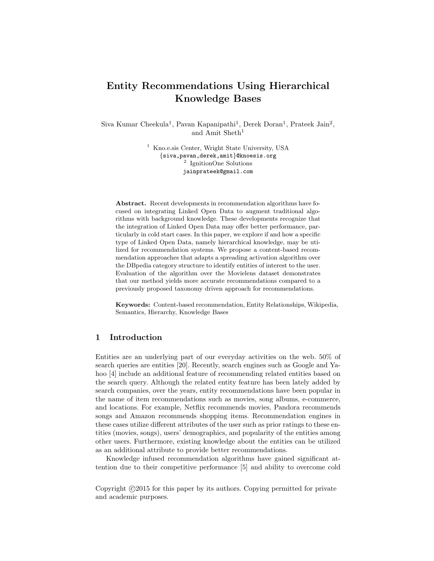# Entity Recommendations Using Hierarchical Knowledge Bases

Siva Kumar Cheekula<sup>1</sup>, Pavan Kapanipathi<sup>1</sup>, Derek Doran<sup>1</sup>, Prateek Jain<sup>2</sup>, and Amit Sheth<sup>1</sup>

> <sup>1</sup> Kno.e.sis Center, Wright State University, USA {siva,pavan,derek,amit}@knoesis.org 2 IgnitionOne Solutions jainprateek@gmail.com

Abstract. Recent developments in recommendation algorithms have focused on integrating Linked Open Data to augment traditional algorithms with background knowledge. These developments recognize that the integration of Linked Open Data may offer better performance, particularly in cold start cases. In this paper, we explore if and how a specific type of Linked Open Data, namely hierarchical knowledge, may be utilized for recommendation systems. We propose a content-based recommendation approaches that adapts a spreading activation algorithm over the DBpedia category structure to identify entities of interest to the user. Evaluation of the algorithm over the Movielens dataset demonstrates that our method yields more accurate recommendations compared to a previously proposed taxonomy driven approach for recommendations.

Keywords: Content-based recommendation, Entity Relationships, Wikipedia, Semantics, Hierarchy, Knowledge Bases

# 1 Introduction

Entities are an underlying part of our everyday activities on the web. 50% of search queries are entities [20]. Recently, search engines such as Google and Yahoo [4] include an additional feature of recommending related entities based on the search query. Although the related entity feature has been lately added by search companies, over the years, entity recommendations have been popular in the name of item recommendations such as movies, song albums, e-commerce, and locations. For example, Netflix recommends movies, Pandora recommends songs and Amazon recommends shopping items. Recommendation engines in these cases utilize different attributes of the user such as prior ratings to these entities (movies, songs), users' demographics, and popularity of the entities among other users. Furthermore, existing knowledge about the entities can be utilized as an additional attribute to provide better recommendations.

Knowledge infused recommendation algorithms have gained significant attention due to their competitive performance [5] and ability to overcome cold

Copyright  $\odot$ 2015 for this paper by its authors. Copying permitted for private and academic purposes.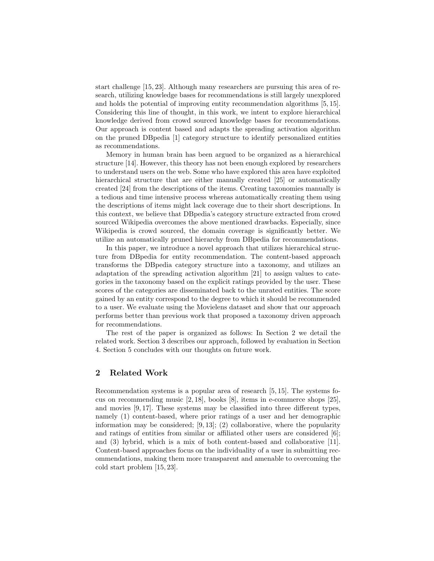start challenge [15, 23]. Although many researchers are pursuing this area of research, utilizing knowledge bases for recommendations is still largely unexplored and holds the potential of improving entity recommendation algorithms [5, 15]. Considering this line of thought, in this work, we intent to explore hierarchical knowledge derived from crowd sourced knowledge bases for recommendations. Our approach is content based and adapts the spreading activation algorithm on the pruned DBpedia [1] category structure to identify personalized entities as recommendations.

Memory in human brain has been argued to be organized as a hierarchical structure [14]. However, this theory has not been enough explored by researchers to understand users on the web. Some who have explored this area have exploited hierarchical structure that are either manually created [25] or automatically created [24] from the descriptions of the items. Creating taxonomies manually is a tedious and time intensive process whereas automatically creating them using the descriptions of items might lack coverage due to their short descriptions. In this context, we believe that DBpedia's category structure extracted from crowd sourced Wikipedia overcomes the above mentioned drawbacks. Especially, since Wikipedia is crowd sourced, the domain coverage is significantly better. We utilize an automatically pruned hierarchy from DBpedia for recommendations.

In this paper, we introduce a novel approach that utilizes hierarchical structure from DBpedia for entity recommendation. The content-based approach transforms the DBpedia category structure into a taxonomy, and utilizes an adaptation of the spreading activation algorithm [21] to assign values to categories in the taxonomy based on the explicit ratings provided by the user. These scores of the categories are disseminated back to the unrated entities. The score gained by an entity correspond to the degree to which it should be recommended to a user. We evaluate using the Movielens dataset and show that our approach performs better than previous work that proposed a taxonomy driven approach for recommendations.

The rest of the paper is organized as follows: In Section 2 we detail the related work. Section 3 describes our approach, followed by evaluation in Section 4. Section 5 concludes with our thoughts on future work.

## 2 Related Work

Recommendation systems is a popular area of research [5, 15]. The systems focus on recommending music [2, 18], books [8], items in e-commerce shops [25], and movies [9, 17]. These systems may be classified into three different types, namely (1) content-based, where prior ratings of a user and her demographic information may be considered;  $[9, 13]$ ;  $(2)$  collaborative, where the popularity and ratings of entities from similar or affiliated other users are considered [6]; and (3) hybrid, which is a mix of both content-based and collaborative [11]. Content-based approaches focus on the individuality of a user in submitting recommendations, making them more transparent and amenable to overcoming the cold start problem [15, 23].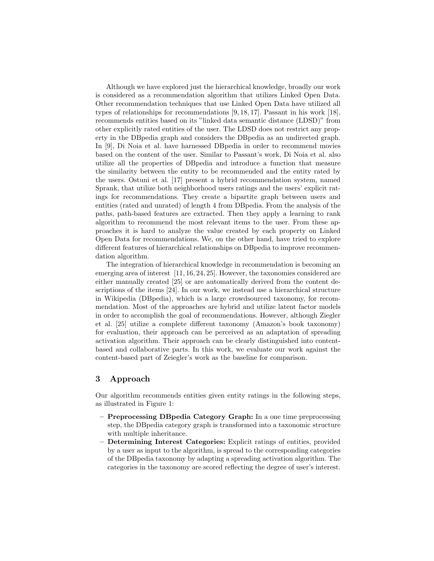Although we have explored just the hierarchical knowledge, broadly our work is considered as a recommendation algorithm that utilizes Linked Open Data. Other recommendation techniques that use Linked Open Data have utilized all types of relationships for recommendations [9, 18, 17]. Passant in his work [18], recommends entities based on its "linked data semantic distance (LDSD)" from other explicitly rated entities of the user. The LDSD does not restrict any property in the DBpedia graph and considers the DBpedia as an undirected graph. In [9], Di Noia et al. have harnessed DBpedia in order to recommend movies based on the content of the user. Similar to Passant's work, Di Noia et al. also utilize all the properties of DBpedia and introduce a function that measure the similarity between the entity to be recommended and the entity rated by the users. Ostuni et al. [17] present a hybrid recommendation system, named Sprank, that utilize both neighborhood users ratings and the users' explicit ratings for recommendations. They create a bipartite graph between users and entities (rated and unrated) of length 4 from DBpedia. From the analysis of the paths, path-based features are extracted. Then they apply a learning to rank algorithm to recommend the most relevant items to the user. From these approaches it is hard to analyze the value created by each property on Linked Open Data for recommendations. We, on the other hand, have tried to explore different features of hierarchical relationships on DBpedia to improve recommendation algorithm.

The integration of hierarchical knowledge in recommendation is becoming an emerging area of interest [11, 16, 24, 25]. However, the taxonomies considered are either manually created [25] or are automatically derived from the content descriptions of the items [24]. In our work, we instead use a hierarchical structure in Wikipedia (DBpedia), which is a large crowdsourced taxonomy, for recommendation. Most of the approaches are hybrid and utilize latent factor models in order to accomplish the goal of recommendations. However, although Ziegler et al. [25] utilize a complete different taxonomy (Amazon's book taxonomy) for evaluation, their approach can be perceived as an adaptation of spreading activation algorithm. Their approach can be clearly distinguished into contentbased and collaborative parts. In this work, we evaluate our work against the content-based part of Zeiegler's work as the baseline for comparison.

### 3 Approach

Our algorithm recommends entities given entity ratings in the following steps, as illustrated in Figure 1:

- Preprocessing DBpedia Category Graph: In a one time preprocessing step, the DBpedia category graph is transformed into a taxonomic structure with multiple inheritance.
- Determining Interest Categories: Explicit ratings of entities, provided by a user as input to the algorithm, is spread to the corresponding categories of the DBpedia taxonomy by adapting a spreading activation algorithm. The categories in the taxonomy are scored reflecting the degree of user's interest.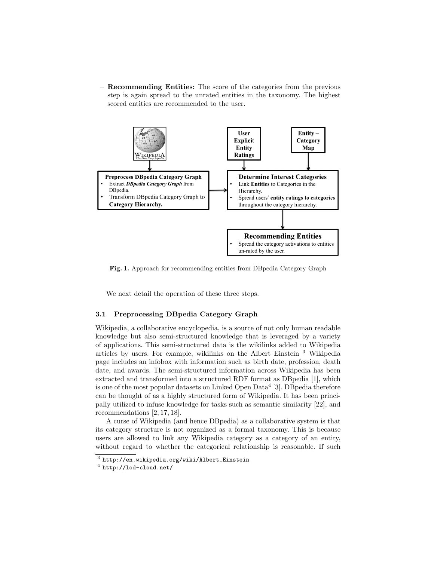– Recommending Entities: The score of the categories from the previous step is again spread to the unrated entities in the taxonomy. The highest scored entities are recommended to the user.



Fig. 1. Approach for recommending entities from DBpedia Category Graph

We next detail the operation of these three steps.

### 3.1 Preprocessing DBpedia Category Graph

Wikipedia, a collaborative encyclopedia, is a source of not only human readable knowledge but also semi-structured knowledge that is leveraged by a variety of applications. This semi-structured data is the wikilinks added to Wikipedia articles by users. For example, wikilinks on the Albert Einstein <sup>3</sup> Wikipedia page includes an infobox with information such as birth date, profession, death date, and awards. The semi-structured information across Wikipedia has been extracted and transformed into a structured RDF format as DBpedia [1], which is one of the most popular datasets on Linked Open Data<sup>4</sup> [3]. DB pedia therefore can be thought of as a highly structured form of Wikipedia. It has been principally utilized to infuse knowledge for tasks such as semantic similarity [22], and recommendations [2, 17, 18].

A curse of Wikipedia (and hence DBpedia) as a collaborative system is that its category structure is not organized as a formal taxonomy. This is because users are allowed to link any Wikipedia category as a category of an entity, without regard to whether the categorical relationship is reasonable. If such

 $^3$  http://en.wikipedia.org/wiki/Albert\_Einstein

 $^4$  http://lod-cloud.net/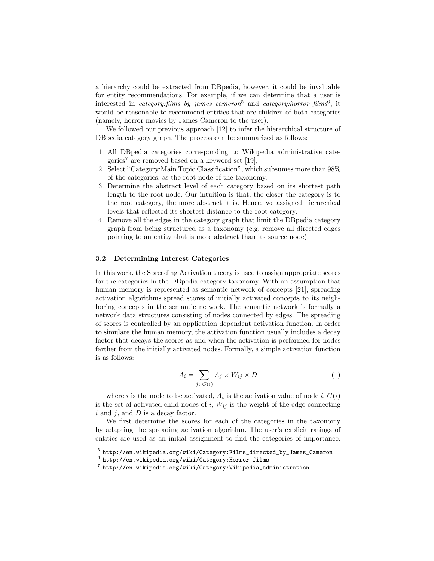a hierarchy could be extracted from DBpedia, however, it could be invaluable for entity recommendations. For example, if we can determine that a user is interested in *category:films by james cameron*<sup>5</sup> and *category:horror films*<sup>6</sup>, it would be reasonable to recommend entities that are children of both categories (namely, horror movies by James Cameron to the user).

We followed our previous approach [12] to infer the hierarchical structure of DBpedia category graph. The process can be summarized as follows:

- 1. All DBpedia categories corresponding to Wikipedia administrative categories<sup>7</sup> are removed based on a keyword set [19];
- 2. Select "Category:Main Topic Classification", which subsumes more than 98% of the categories, as the root node of the taxonomy.
- 3. Determine the abstract level of each category based on its shortest path length to the root node. Our intuition is that, the closer the category is to the root category, the more abstract it is. Hence, we assigned hierarchical levels that reflected its shortest distance to the root category.
- 4. Remove all the edges in the category graph that limit the DBpedia category graph from being structured as a taxonomy (e.g, remove all directed edges pointing to an entity that is more abstract than its source node).

#### 3.2 Determining Interest Categories

In this work, the Spreading Activation theory is used to assign appropriate scores for the categories in the DBpedia category taxonomy. With an assumption that human memory is represented as semantic network of concepts [21], spreading activation algorithms spread scores of initially activated concepts to its neighboring concepts in the semantic network. The semantic network is formally a network data structures consisting of nodes connected by edges. The spreading of scores is controlled by an application dependent activation function. In order to simulate the human memory, the activation function usually includes a decay factor that decays the scores as and when the activation is performed for nodes farther from the initially activated nodes. Formally, a simple activation function is as follows:

$$
A_i = \sum_{j \in C(i)} A_j \times W_{ij} \times D \tag{1}
$$

where *i* is the node to be activated,  $A_i$  is the activation value of node *i*,  $C(i)$ is the set of activated child nodes of  $i, W_{ij}$  is the weight of the edge connecting  $i$  and  $j$ , and  $D$  is a decay factor.

We first determine the scores for each of the categories in the taxonomy by adapting the spreading activation algorithm. The user's explicit ratings of entities are used as an initial assignment to find the categories of importance.

 $^5$ http://en.wikipedia.org/wiki/Category:Films\_directed\_by\_James\_Cameron

 $^6$  http://en.wikipedia.org/wiki/Category:Horror\_films

 $^7$  http://en.wikipedia.org/wiki/Category:Wikipedia\_administration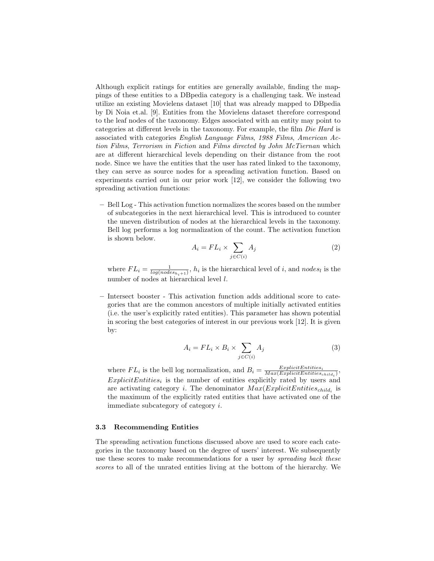Although explicit ratings for entities are generally available, finding the mappings of these entities to a DBpedia category is a challenging task. We instead utilize an existing Movielens dataset [10] that was already mapped to DBpedia by Di Noia et.al. [9]. Entities from the Movielens dataset therefore correspond to the leaf nodes of the taxonomy. Edges associated with an entity may point to categories at different levels in the taxonomy. For example, the film Die Hard is associated with categories English Language Films, 1988 Films, American Action Films, Terrorism in Fiction and Films directed by John McTiernan which are at different hierarchical levels depending on their distance from the root node. Since we have the entities that the user has rated linked to the taxonomy, they can serve as source nodes for a spreading activation function. Based on experiments carried out in our prior work [12], we consider the following two spreading activation functions:

– Bell Log - This activation function normalizes the scores based on the number of subcategories in the next hierarchical level. This is introduced to counter the uneven distribution of nodes at the hierarchical levels in the taxonomy. Bell log performs a log normalization of the count. The activation function is shown below.

$$
A_i = FL_i \times \sum_{j \in C(i)} A_j \tag{2}
$$

where  $FL_i = \frac{1}{log(nodes_{h_i+1})}$ ,  $h_i$  is the hierarchical level of i, and nodes<sub>l</sub> is the number of nodes at hierarchical level l.

– Intersect booster - This activation function adds additional score to categories that are the common ancestors of multiple initially activated entities (i.e. the user's explicitly rated entities). This parameter has shown potential in scoring the best categories of interest in our previous work [12]. It is given by:

$$
A_i = FL_i \times B_i \times \sum_{j \in C(i)} A_j \tag{3}
$$

where  $FL_i$  is the bell log normalization, and  $B_i = \frac{ExplicitEntities_i}{Max(ExplicitEntities_{child_i})}$ ,  $ExplicitEntities_i$  is the number of entities explicitly rated by users and are activating category *i*. The denominator  $Max(ExplicitEntities_{child_i})$  is the maximum of the explicitly rated entities that have activated one of the immediate subcategory of category i.

#### 3.3 Recommending Entities

The spreading activation functions discussed above are used to score each categories in the taxonomy based on the degree of users' interest. We subsequently use these scores to make recommendations for a user by *spreading back these* scores to all of the unrated entities living at the bottom of the hierarchy. We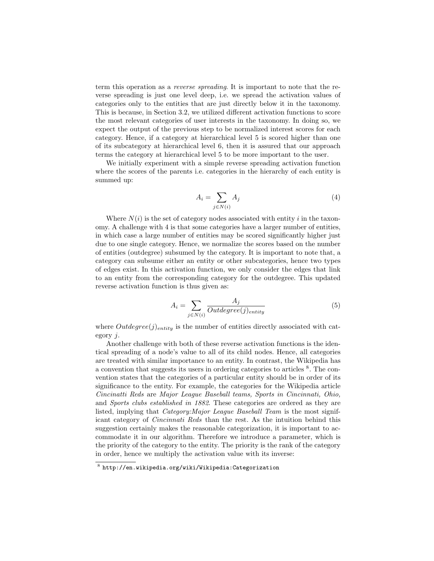term this operation as a reverse spreading. It is important to note that the reverse spreading is just one level deep, i.e. we spread the activation values of categories only to the entities that are just directly below it in the taxonomy. This is because, in Section 3.2, we utilized different activation functions to score the most relevant categories of user interests in the taxonomy. In doing so, we expect the output of the previous step to be normalized interest scores for each category. Hence, if a category at hierarchical level 5 is scored higher than one of its subcategory at hierarchical level 6, then it is assured that our approach terms the category at hierarchical level 5 to be more important to the user.

We initially experiment with a simple reverse spreading activation function where the scores of the parents i.e. categories in the hierarchy of each entity is summed up:

$$
A_i = \sum_{j \in N(i)} A_j \tag{4}
$$

Where  $N(i)$  is the set of category nodes associated with entity i in the taxonomy. A challenge with 4 is that some categories have a larger number of entities, in which case a large number of entities may be scored significantly higher just due to one single category. Hence, we normalize the scores based on the number of entities (outdegree) subsumed by the category. It is important to note that, a category can subsume either an entity or other subcategories, hence two types of edges exist. In this activation function, we only consider the edges that link to an entity from the corresponding category for the outdegree. This updated reverse activation function is thus given as:

$$
A_i = \sum_{j \in N(i)} \frac{A_j}{Outdegree(j)_{entity}} \tag{5}
$$

where  $Outdegree(j)_{entity}$  is the number of entities directly associated with category j.

Another challenge with both of these reverse activation functions is the identical spreading of a node's value to all of its child nodes. Hence, all categories are treated with similar importance to an entity. In contrast, the Wikipedia has a convention that suggests its users in ordering categories to articles  $8$ . The convention states that the categories of a particular entity should be in order of its significance to the entity. For example, the categories for the Wikipedia article Cincinatti Reds are Major League Baseball teams, Sports in Cincinnati, Ohio, and Sports clubs established in 1882. These categories are ordered as they are listed, implying that *Category:Major League Baseball Team* is the most significant category of Cincinnati Reds than the rest. As the intuition behind this suggestion certainly makes the reasonable categorization, it is important to accommodate it in our algorithm. Therefore we introduce a parameter, which is the priority of the category to the entity. The priority is the rank of the category in order, hence we multiply the activation value with its inverse:

 $^8$  http://en.wikipedia.org/wiki/Wikipedia:Categorization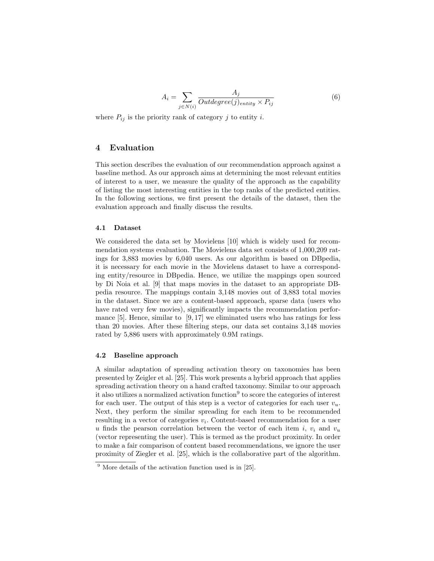$$
A_i = \sum_{j \in N(i)} \frac{A_j}{Outdegree(j)_{entity} \times P_{ij}}
$$
(6)

where  $P_{ij}$  is the priority rank of category j to entity i.

## 4 Evaluation

This section describes the evaluation of our recommendation approach against a baseline method. As our approach aims at determining the most relevant entities of interest to a user, we measure the quality of the approach as the capability of listing the most interesting entities in the top ranks of the predicted entities. In the following sections, we first present the details of the dataset, then the evaluation approach and finally discuss the results.

#### 4.1 Dataset

We considered the data set by Movielens [10] which is widely used for recommendation systems evaluation. The Movielens data set consists of 1,000,209 ratings for 3,883 movies by 6,040 users. As our algorithm is based on DBpedia, it is necessary for each movie in the Movielens dataset to have a corresponding entity/resource in DBpedia. Hence, we utilize the mappings open sourced by Di Noia et al. [9] that maps movies in the dataset to an appropriate DBpedia resource. The mappings contain 3,148 movies out of 3,883 total movies in the dataset. Since we are a content-based approach, sparse data (users who have rated very few movies), significantly impacts the recommendation performance  $[5]$ . Hence, similar to  $[9, 17]$  we eliminated users who has ratings for less than 20 movies. After these filtering steps, our data set contains 3,148 movies rated by 5,886 users with approximately 0.9M ratings.

#### 4.2 Baseline approach

A similar adaptation of spreading activation theory on taxonomies has been presented by Zeigler et al. [25]. This work presents a hybrid approach that applies spreading activation theory on a hand crafted taxonomy. Similar to our approach it also utilizes a normalized activation function<sup>9</sup> to score the categories of interest for each user. The output of this step is a vector of categories for each user  $v_u$ . Next, they perform the similar spreading for each item to be recommended resulting in a vector of categories  $v_i$ . Content-based recommendation for a user u finds the pearson correlation between the vector of each item i,  $v_i$  and  $v_u$ (vector representing the user). This is termed as the product proximity. In order to make a fair comparison of content based recommendations, we ignore the user proximity of Ziegler et al. [25], which is the collaborative part of the algorithm.

<sup>9</sup> More details of the activation function used is in [25].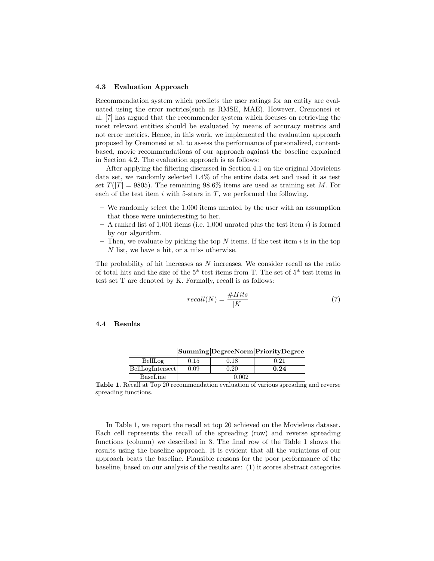#### 4.3 Evaluation Approach

Recommendation system which predicts the user ratings for an entity are evaluated using the error metrics(such as RMSE, MAE). However, Cremonesi et al. [7] has argued that the recommender system which focuses on retrieving the most relevant entities should be evaluated by means of accuracy metrics and not error metrics. Hence, in this work, we implemented the evaluation approach proposed by Cremonesi et al. to assess the performance of personalized, contentbased, movie recommendations of our approach against the baseline explained in Section 4.2. The evaluation approach is as follows:

After applying the filtering discussed in Section 4.1 on the original Movielens data set, we randomly selected 1.4% of the entire data set and used it as test set  $T(|T| = 9805)$ . The remaining  $98.6\%$  items are used as training set M. For each of the test item  $i$  with 5-stars in  $T$ , we performed the following.

- We randomly select the 1,000 items unrated by the user with an assumption that those were uninteresting to her.
- $-$  A ranked list of 1,001 items (i.e. 1,000 unrated plus the test item i) is formed by our algorithm.
- Then, we evaluate by picking the top  $N$  items. If the test item  $i$  is in the top N list, we have a hit, or a miss otherwise.

The probability of hit increases as  $N$  increases. We consider recall as the ratio of total hits and the size of the 5\* test items from T. The set of 5\* test items in test set T are denoted by K. Formally, recall is as follows:

$$
recall(N) = \frac{\#Hits}{|K|} \tag{7}
$$

### 4.4 Results

|                  |       |      | Summing Degree Norm Priority Degree |
|------------------|-------|------|-------------------------------------|
| BellLog          | 0.15  | 0.18 | 0.21                                |
| BellLogIntersect | 0.09  | 0.20 | 0.24                                |
| BaseLine         | 0.002 |      |                                     |

Table 1. Recall at Top 20 recommendation evaluation of various spreading and reverse spreading functions.

In Table 1, we report the recall at top 20 achieved on the Movielens dataset. Each cell represents the recall of the spreading (row) and reverse spreading functions (column) we described in 3. The final row of the Table 1 shows the results using the baseline approach. It is evident that all the variations of our approach beats the baseline. Plausible reasons for the poor performance of the baseline, based on our analysis of the results are: (1) it scores abstract categories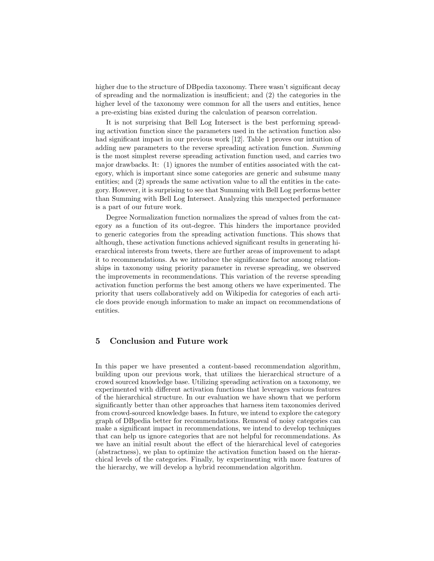higher due to the structure of DBpedia taxonomy. There wasn't significant decay of spreading and the normalization is insufficient; and (2) the categories in the higher level of the taxonomy were common for all the users and entities, hence a pre-existing bias existed during the calculation of pearson correlation.

It is not surprising that Bell Log Intersect is the best performing spreading activation function since the parameters used in the activation function also had significant impact in our previous work [12]. Table 1 proves our intuition of adding new parameters to the reverse spreading activation function. Summing is the most simplest reverse spreading activation function used, and carries two major drawbacks. It: (1) ignores the number of entities associated with the category, which is important since some categories are generic and subsume many entities; and (2) spreads the same activation value to all the entities in the category. However, it is surprising to see that Summing with Bell Log performs better than Summing with Bell Log Intersect. Analyzing this unexpected performance is a part of our future work.

Degree Normalization function normalizes the spread of values from the category as a function of its out-degree. This hinders the importance provided to generic categories from the spreading activation functions. This shows that although, these activation functions achieved significant results in generating hierarchical interests from tweets, there are further areas of improvement to adapt it to recommendations. As we introduce the significance factor among relationships in taxonomy using priority parameter in reverse spreading, we observed the improvements in recommendations. This variation of the reverse spreading activation function performs the best among others we have experimented. The priority that users collaboratively add on Wikipedia for categories of each article does provide enough information to make an impact on recommendations of entities.

# 5 Conclusion and Future work

In this paper we have presented a content-based recommendation algorithm, building upon our previous work, that utilizes the hierarchical structure of a crowd sourced knowledge base. Utilizing spreading activation on a taxonomy, we experimented with different activation functions that leverages various features of the hierarchical structure. In our evaluation we have shown that we perform significantly better than other approaches that harness item taxonomies derived from crowd-sourced knowledge bases. In future, we intend to explore the category graph of DBpedia better for recommendations. Removal of noisy categories can make a significant impact in recommendations, we intend to develop techniques that can help us ignore categories that are not helpful for recommendations. As we have an initial result about the effect of the hierarchical level of categories (abstractness), we plan to optimize the activation function based on the hierarchical levels of the categories. Finally, by experimenting with more features of the hierarchy, we will develop a hybrid recommendation algorithm.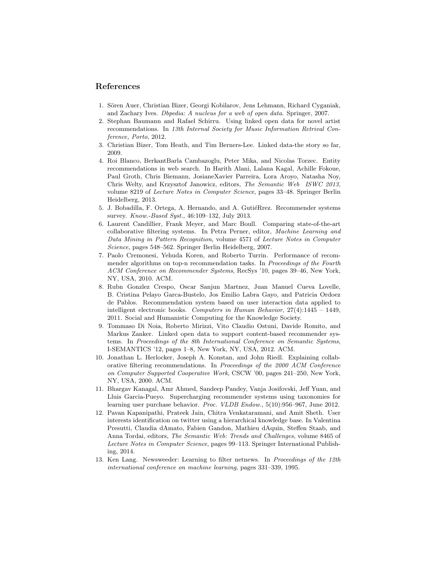### References

- 1. Sören Auer, Christian Bizer, Georgi Kobilarov, Jens Lehmann, Richard Cyganiak, and Zachary Ives. Dbpedia: A nucleus for a web of open data. Springer, 2007.
- 2. Stephan Baumann and Rafael Schirru. Using linked open data for novel artist recommendations. In 13th Internal Society for Music Information Retrival Conference, Porto, 2012.
- 3. Christian Bizer, Tom Heath, and Tim Berners-Lee. Linked data-the story so far, 2009.
- 4. Roi Blanco, BerkantBarla Cambazoglu, Peter Mika, and Nicolas Torzec. Entity recommendations in web search. In Harith Alani, Lalana Kagal, Achille Fokoue, Paul Groth, Chris Biemann, JosianeXavier Parreira, Lora Aroyo, Natasha Noy, Chris Welty, and Krzysztof Janowicz, editors, The Semantic Web ISWC 2013, volume 8219 of Lecture Notes in Computer Science, pages 33–48. Springer Berlin Heidelberg, 2013.
- 5. J. Bobadilla, F. Ortega, A. Hernando, and A. GutiéRrez. Recommender systems survey. Know.-Based Syst., 46:109–132, July 2013.
- 6. Laurent Candillier, Frank Meyer, and Marc Boull. Comparing state-of-the-art collaborative filtering systems. In Petra Perner, editor, Machine Learning and Data Mining in Pattern Recognition, volume 4571 of Lecture Notes in Computer Science, pages 548–562. Springer Berlin Heidelberg, 2007.
- 7. Paolo Cremonesi, Yehuda Koren, and Roberto Turrin. Performance of recommender algorithms on top-n recommendation tasks. In *Proceedings of the Fourth* ACM Conference on Recommender Systems, RecSys '10, pages 39–46, New York, NY, USA, 2010. ACM.
- 8. Rubn Gonzlez Crespo, Oscar Sanjun Martnez, Juan Manuel Cueva Lovelle, B. Cristina Pelayo Garca-Bustelo, Jos Emilio Labra Gayo, and Patricia Ordoez de Pablos. Recommendation system based on user interaction data applied to intelligent electronic books. Computers in Human Behavior, 27(4):1445 – 1449, 2011. Social and Humanistic Computing for the Knowledge Society.
- 9. Tommaso Di Noia, Roberto Mirizzi, Vito Claudio Ostuni, Davide Romito, and Markus Zanker. Linked open data to support content-based recommender systems. In Proceedings of the 8th International Conference on Semantic Systems, I-SEMANTICS '12, pages 1–8, New York, NY, USA, 2012. ACM.
- 10. Jonathan L. Herlocker, Joseph A. Konstan, and John Riedl. Explaining collaborative filtering recommendations. In Proceedings of the 2000 ACM Conference on Computer Supported Cooperative Work, CSCW '00, pages 241–250, New York, NY, USA, 2000. ACM.
- 11. Bhargav Kanagal, Amr Ahmed, Sandeep Pandey, Vanja Josifovski, Jeff Yuan, and Lluis Garcia-Pueyo. Supercharging recommender systems using taxonomies for learning user purchase behavior. Proc. VLDB Endow., 5(10):956–967, June 2012.
- 12. Pavan Kapanipathi, Prateek Jain, Chitra Venkataramani, and Amit Sheth. User interests identification on twitter using a hierarchical knowledge base. In Valentina Presutti, Claudia dAmato, Fabien Gandon, Mathieu dAquin, Steffen Staab, and Anna Tordai, editors, The Semantic Web: Trends and Challenges, volume 8465 of Lecture Notes in Computer Science, pages 99–113. Springer International Publishing, 2014.
- 13. Ken Lang. Newsweeder: Learning to filter netnews. In Proceedings of the 12th international conference on machine learning, pages 331–339, 1995.